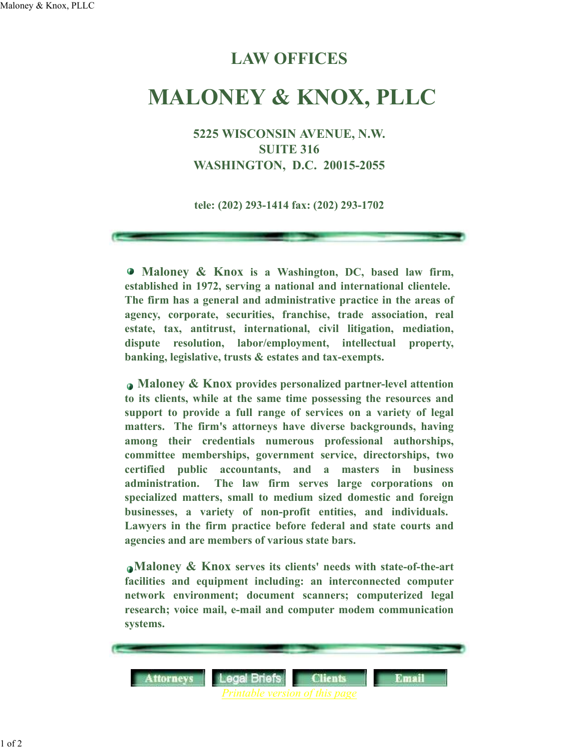## **LAW OFFICES**

## **MALONEY & KNOX, PLLC**

**5225 WISCONSIN AVENUE, N.W. SUITE 316 WASHINGTON, D.C. 20015-2055**

**tele: (202) 293-1414 fax: (202) 293-1702**

 **Maloney & Knox is a Washington, DC, based law firm, established in 1972, serving a national and international clientele. The firm has a general and administrative practice in the areas of agency, corporate, securities, franchise, trade association, real estate, tax, antitrust, international, civil litigation, mediation, dispute resolution, labor/employment, intellectual property, banking, legislative, trusts & estates and tax-exempts.**

 **Maloney & Knox provides personalized partner-level attention to its clients, while at the same time possessing the resources and support to provide a full range of services on a variety of legal matters. The firm's attorneys have diverse backgrounds, having among their credentials numerous professional authorships, committee memberships, government service, directorships, two certified public accountants, and a masters in business administration. The law firm serves large corporations on specialized matters, small to medium sized domestic and foreign businesses, a variety of non-profit entities, and individuals. Lawyers in the firm practice before federal and state courts and agencies and are members of various state bars.**

**Maloney & Knox serves its clients' needs with state-of-the-art facilities and equipment including: an interconnected computer network environment; document scanners; computerized legal research; voice mail, e-mail and computer modem communication systems.**



1 of 2